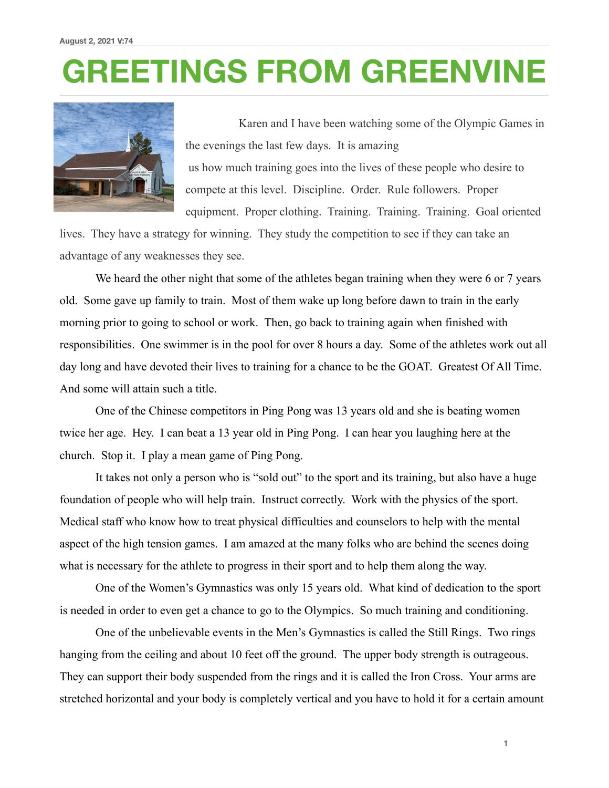## **GREETINGS FROM GREENVINE**



 Karen and I have been watching some of the Olympic Games in the evenings the last few days. It is amazing us how much training goes into the lives of these people who desire to compete at this level. Discipline. Order. Rule followers. Proper equipment. Proper clothing. Training. Training. Training. Goal oriented

lives. They have a strategy for winning. They study the competition to see if they can take an advantage of any weaknesses they see.

We heard the other night that some of the athletes began training when they were 6 or 7 years old. Some gave up family to train. Most of them wake up long before dawn to train in the early morning prior to going to school or work. Then, go back to training again when finished with responsibilities. One swimmer is in the pool for over 8 hours a day. Some of the athletes work out all day long and have devoted their lives to training for a chance to be the GOAT. Greatest Of All Time. And some will attain such a title.

 One of the Chinese competitors in Ping Pong was 13 years old and she is beating women twice her age. Hey. I can beat a 13 year old in Ping Pong. I can hear you laughing here at the church. Stop it. I play a mean game of Ping Pong.

 It takes not only a person who is "sold out" to the sport and its training, but also have a huge foundation of people who will help train. Instruct correctly. Work with the physics of the sport. Medical staff who know how to treat physical difficulties and counselors to help with the mental aspect of the high tension games. I am amazed at the many folks who are behind the scenes doing what is necessary for the athlete to progress in their sport and to help them along the way.

 One of the Women's Gymnastics was only 15 years old. What kind of dedication to the sport is needed in order to even get a chance to go to the Olympics. So much training and conditioning.

 One of the unbelievable events in the Men's Gymnastics is called the Still Rings. Two rings hanging from the ceiling and about 10 feet off the ground. The upper body strength is outrageous. They can support their body suspended from the rings and it is called the Iron Cross. Your arms are stretched horizontal and your body is completely vertical and you have to hold it for a certain amount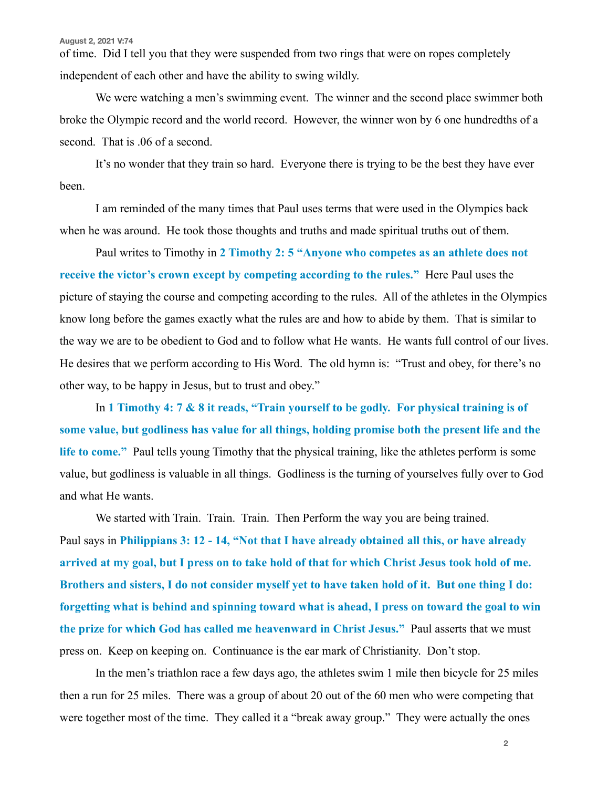of time. Did I tell you that they were suspended from two rings that were on ropes completely independent of each other and have the ability to swing wildly.

 We were watching a men's swimming event. The winner and the second place swimmer both broke the Olympic record and the world record. However, the winner won by 6 one hundredths of a second. That is .06 of a second.

 It's no wonder that they train so hard. Everyone there is trying to be the best they have ever been.

 I am reminded of the many times that Paul uses terms that were used in the Olympics back when he was around. He took those thoughts and truths and made spiritual truths out of them.

 Paul writes to Timothy in **2 Timothy 2: 5 "Anyone who competes as an athlete does not receive the victor's crown except by competing according to the rules."** Here Paul uses the picture of staying the course and competing according to the rules. All of the athletes in the Olympics know long before the games exactly what the rules are and how to abide by them. That is similar to the way we are to be obedient to God and to follow what He wants. He wants full control of our lives. He desires that we perform according to His Word. The old hymn is: "Trust and obey, for there's no other way, to be happy in Jesus, but to trust and obey."

 In **1 Timothy 4: 7 & 8 it reads, "Train yourself to be godly. For physical training is of some value, but godliness has value for all things, holding promise both the present life and the life to come."** Paul tells young Timothy that the physical training, like the athletes perform is some value, but godliness is valuable in all things. Godliness is the turning of yourselves fully over to God and what He wants.

 We started with Train. Train. Train. Then Perform the way you are being trained. Paul says in **Philippians 3: 12 - 14, "Not that I have already obtained all this, or have already arrived at my goal, but I press on to take hold of that for which Christ Jesus took hold of me. Brothers and sisters, I do not consider myself yet to have taken hold of it. But one thing I do: forgetting what is behind and spinning toward what is ahead, I press on toward the goal to win the prize for which God has called me heavenward in Christ Jesus."** Paul asserts that we must press on. Keep on keeping on. Continuance is the ear mark of Christianity. Don't stop.

 In the men's triathlon race a few days ago, the athletes swim 1 mile then bicycle for 25 miles then a run for 25 miles. There was a group of about 20 out of the 60 men who were competing that were together most of the time. They called it a "break away group." They were actually the ones

**2**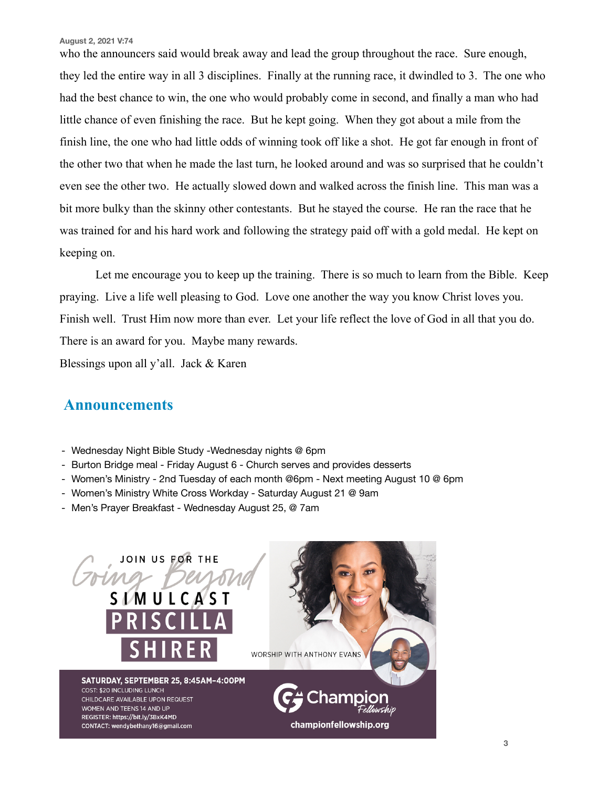**August 2, 2021 V:74**

who the announcers said would break away and lead the group throughout the race. Sure enough, they led the entire way in all 3 disciplines. Finally at the running race, it dwindled to 3. The one who had the best chance to win, the one who would probably come in second, and finally a man who had little chance of even finishing the race. But he kept going. When they got about a mile from the finish line, the one who had little odds of winning took off like a shot. He got far enough in front of the other two that when he made the last turn, he looked around and was so surprised that he couldn't even see the other two. He actually slowed down and walked across the finish line. This man was a bit more bulky than the skinny other contestants. But he stayed the course. He ran the race that he was trained for and his hard work and following the strategy paid off with a gold medal. He kept on keeping on.

 Let me encourage you to keep up the training. There is so much to learn from the Bible. Keep praying. Live a life well pleasing to God. Love one another the way you know Christ loves you. Finish well. Trust Him now more than ever. Let your life reflect the love of God in all that you do. There is an award for you. Maybe many rewards.

Blessings upon all y'all. Jack & Karen

## **Announcements**

- Wednesday Night Bible Study -Wednesday nights @ 6pm
- Burton Bridge meal Friday August 6 Church serves and provides desserts
- Women's Ministry 2nd Tuesday of each month @6pm Next meeting August 10 @ 6pm
- Women's Ministry White Cross Workday Saturday August 21 @ 9am
- Men's Prayer Breakfast Wednesday August 25, @ 7am